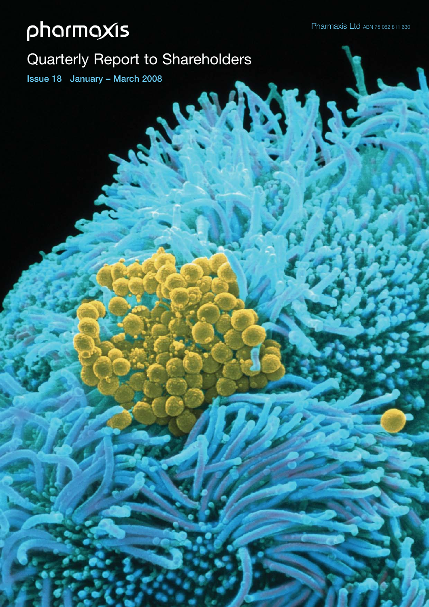## Quarterly Report to Shareholders

**Issue 18 January – March 2008**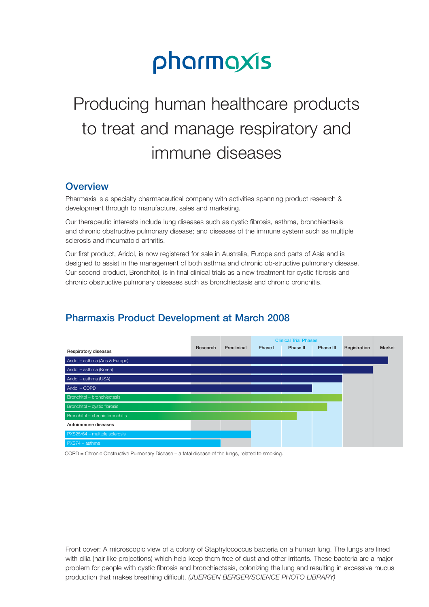## Producing human healthcare products to treat and manage respiratory and immune diseases

## **Overview**

Pharmaxis is a specialty pharmaceutical company with activities spanning product research & development through to manufacture, sales and marketing.

Our therapeutic interests include lung diseases such as cystic fibrosis, asthma, bronchiectasis and chronic obstructive pulmonary disease; and diseases of the immune system such as multiple sclerosis and rheumatoid arthritis.

Our first product, Aridol, is now registered for sale in Australia, Europe and parts of Asia and is designed to assist in the management of both asthma and chronic ob-structive pulmonary disease. Our second product, Bronchitol, is in final clinical trials as a new treatment for cystic fibrosis and chronic obstructive pulmonary diseases such as bronchiectasis and chronic bronchitis.

## **Pharmaxis Product Development at March 2008**



COPD = Chronic Obstructive Pulmonary Disease – a fatal disease of the lungs, related to smoking.

Front cover: A microscopic view of a colony of Staphylococcus bacteria on a human lung. The lungs are lined with cilia (hair like projections) which help keep them free of dust and other irritants. These bacteria are a major problem for people with cystic fibrosis and bronchiectasis, colonizing the lung and resulting in excessive mucus production that makes breathing difficult. *(JUERGEN BERGER/SCIENCE PHOTO LIBRARY)*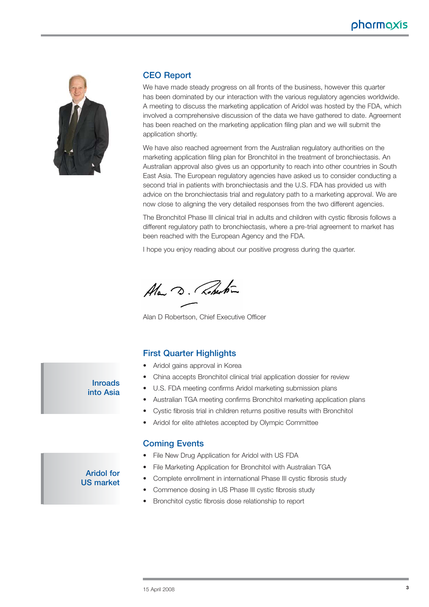

#### **CEO Report**

We have made steady progress on all fronts of the business, however this quarter has been dominated by our interaction with the various regulatory agencies worldwide. A meeting to discuss the marketing application of Aridol was hosted by the FDA, which involved a comprehensive discussion of the data we have gathered to date. Agreement has been reached on the marketing application filing plan and we will submit the application shortly.

We have also reached agreement from the Australian regulatory authorities on the marketing application filing plan for Bronchitol in the treatment of bronchiectasis. An Australian approval also gives us an opportunity to reach into other countries in South East Asia. The European regulatory agencies have asked us to consider conducting a second trial in patients with bronchiectasis and the U.S. FDA has provided us with advice on the bronchiectasis trial and regulatory path to a marketing approval. We are now close to aligning the very detailed responses from the two different agencies.

The Bronchitol Phase III clinical trial in adults and children with cystic fibrosis follows a different regulatory path to bronchiectasis, where a pre-trial agreement to market has been reached with the European Agency and the FDA.

I hope you enjoy reading about our positive progress during the quarter.

Ala D. Roberton

Alan D Robertson, Chief Executive Officer

#### **First Quarter Highlights**

- Aridol gains approval in Korea
- China accepts Bronchitol clinical trial application dossier for review
- U.S. FDA meeting confirms Aridol marketing submission plans
- Australian TGA meeting confirms Bronchitol marketing application plans
- Cystic fibrosis trial in children returns positive results with Bronchitol
- Aridol for elite athletes accepted by Olympic Committee

#### **Coming Events**

- File New Drug Application for Aridol with US FDA
- File Marketing Application for Bronchitol with Australian TGA
- Complete enrollment in international Phase III cystic fibrosis study
- Commence dosing in US Phase III cystic fibrosis study
- Bronchitol cystic fibrosis dose relationship to report

## **Inroads into Asia**

**Aridol for US market**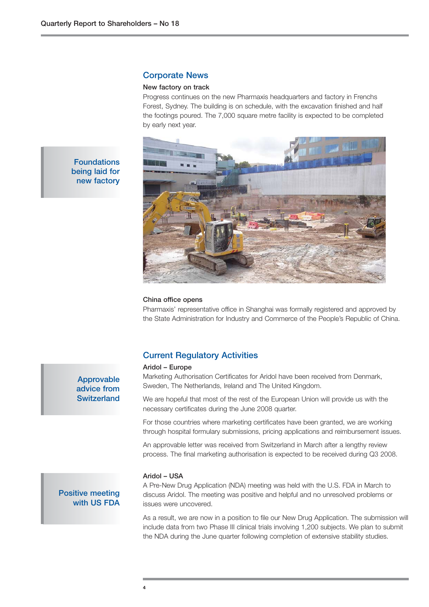**Foundations being laid for new factory**

#### **Corporate News**

#### **New factory on track**

Progress continues on the new Pharmaxis headquarters and factory in Frenchs Forest, Sydney. The building is on schedule, with the excavation finished and half the footings poured. The 7,000 square metre facility is expected to be completed by early next year.



## **China office opens**

Pharmaxis' representative office in Shanghai was formally registered and approved by the State Administration for Industry and Commerce of the People's Republic of China.

#### **Current Regulatory Activities**

#### **Aridol – Europe**

Marketing Authorisation Certificates for Aridol have been received from Denmark, Sweden, The Netherlands, Ireland and The United Kingdom.

We are hopeful that most of the rest of the European Union will provide us with the necessary certificates during the June 2008 quarter.

For those countries where marketing certificates have been granted, we are working through hospital formulary submissions, pricing applications and reimbursement issues.

An approvable letter was received from Switzerland in March after a lengthy review process. The final marketing authorisation is expected to be received during Q3 2008.

#### **Aridol – USA**

A Pre-New Drug Application (NDA) meeting was held with the U.S. FDA in March to discuss Aridol. The meeting was positive and helpful and no unresolved problems or issues were uncovered.

As a result, we are now in a position to file our New Drug Application. The submission will include data from two Phase III clinical trials involving 1,200 subjects. We plan to submit the NDA during the June quarter following completion of extensive stability studies.

**Approvable advice from Switzerland**

#### **Positive meeting with US FDA**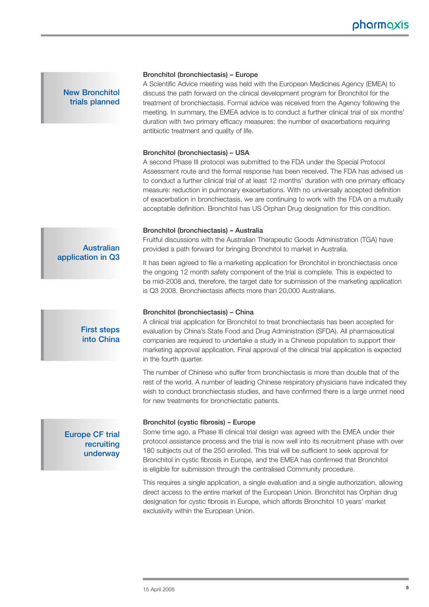## **New Bronchitol trials planned**

#### **Bronchitol (bronchiectasis) – Europe**

A Scientific Advice meeting was held with the European Medicines Agency (EMEA) to discuss the path forward on the clinical development program for Bronchitol for the treatment of bronchiectasis. Formal advice was received from the Agency following the meeting. In summary, the EMEA advice is to conduct a further clinical trial of six months' duration with two primary efficacy measures: the number of exacerbations requiring antibiotic treatment and quality of life.

#### **Bronchitol (bronchiectasis) – USA**

A second Phase III protocol was submitted to the FDA under the Special Protocol Assessment route and the formal response has been received. The FDA has advised us to conduct a further clinical trial of at least 12 months' duration with one primary efficacy measure: reduction in pulmonary exacerbations. With no universally accepted definition of exacerbation in bronchiectasis, we are continuing to work with the FDA on a mutually acceptable definition. Bronchitol has US Orphan Drug designation for this condition.

#### **Bronchitol (bronchiectasis) – Australia**

Fruitful discussions with the Australian Therapeutic Goods Administration (TGA) have provided a path forward for bringing Bronchitol to market in Australia.

It has been agreed to file a marketing application for Bronchitol in bronchiectasis once the ongoing 12 month safety component of the trial is complete. This is expected to be mid-2008 and, therefore, the target date for submission of the marketing application is Q3 2008. Bronchiectasis affects more than 20,000 Australians.

#### **Bronchitol (bronchiectasis) – China**

A clinical trial application for Bronchitol to treat bronchiectasis has been accepted for evaluation by China's State Food and Drug Administration (SFDA). All pharmaceutical companies are required to undertake a study in a Chinese population to support their marketing approval application. Final approval of the clinical trial application is expected in the fourth quarter.

The number of Chinese who suffer from bronchiectasis is more than double that of the rest of the world. A number of leading Chinese respiratory physicians have indicated they wish to conduct bronchiectasis studies, and have confirmed there is a large unmet need for new treatments for bronchiectatic patients.

#### **Bronchitol (cystic fibrosis) – Europe**

Some time ago, a Phase III clinical trial design was agreed with the EMEA under their protocol assistance process and the trial is now well into its recruitment phase with over 180 subjects out of the 250 enrolled. This trial will be sufficient to seek approval for Bronchitol in cystic fibrosis in Europe, and the EMEA has confirmed that Bronchitol is eligible for submission through the centralised Community procedure.

This requires a single application, a single evaluation and a single authorization, allowing direct access to the entire market of the European Union. Bronchitol has Orphan drug designation for cystic fibrosis in Europe, which affords Bronchitol 10 years' market exclusivity within the European Union.

#### **Australian application in Q3**

## **First steps into China**

## **Europe CF trial recruiting underway**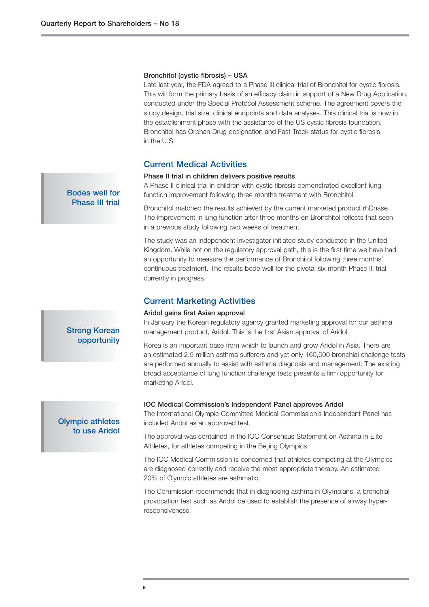#### **Bronchitol (cystic fibrosis) – USA**

Late last year, the FDA agreed to a Phase III clinical trial of Bronchitol for cystic fibrosis. This will form the primary basis of an efficacy claim in support of a New Drug Application, conducted under the Special Protocol Assessment scheme. The agreement covers the study design, trial size, clinical endpoints and data analyses. This clinical trial is now in the establishment phase with the assistance of the US cystic fibrosis foundation. Bronchitol has Orphan Drug designation and Fast Track status for cystic fibrosis in the U.S.

#### **Current Medical Activities**

#### **Phase II trial in children delivers positive results**

A Phase II clinical trial in children with cystic fibrosis demonstrated excellent lung function improvement following three months treatment with Bronchitol.

Bronchitol matched the results achieved by the current marketed product rhDnase. The improvement in lung function after three months on Bronchitol reflects that seen in a previous study following two weeks of treatment.

The study was an independent investigator initiated study conducted in the United Kingdom. While not on the regulatory approval path, this is the first time we have had an opportunity to measure the performance of Bronchitol following three months' continuous treatment. The results bode well for the pivotal six month Phase III trial currently in progress.

#### **Current Marketing Activities**

#### **Aridol gains first Asian approval**

In January the Korean regulatory agency granted marketing approval for our asthma management product, Aridol. This is the first Asian approval of Aridol.

Korea is an important base from which to launch and grow Aridol in Asia. There are an estimated 2.5 million asthma sufferers and yet only 160,000 bronchial challenge tests are performed annually to assist with asthma diagnosis and management. The existing broad acceptance of lung function challenge tests presents a firm opportunity for marketing Aridol.

#### **IOC Medical Commission's Independent Panel approves Aridol**

The International Olympic Committee Medical Commission's Independent Panel has included Aridol as an approved test.

The approval was contained in the IOC Consensus Statement on Asthma in Elite Athletes, for athletes competing in the Beijing Olympics.

The IOC Medical Commission is concerned that athletes competing at the Olympics are diagnosed correctly and receive the most appropriate therapy. An estimated 20% of Olympic athletes are asthmatic.

The Commission recommends that in diagnosing asthma in Olympians, a bronchial provocation test such as Aridol be used to establish the presence of airway hyperresponsiveness.

#### **Bodes well for Phase III trial**

## **opportunity**

**Strong Korean**

#### **Olympic athletes to use Aridol**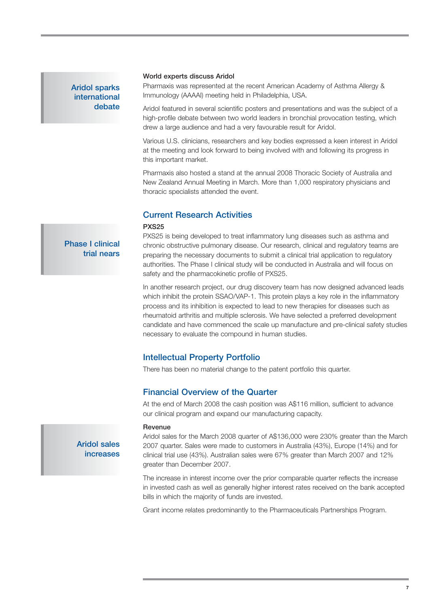## **Aridol sparks international debate**

#### **World experts discuss Aridol**

Pharmaxis was represented at the recent American Academy of Asthma Allergy & Immunology (AAAAI) meeting held in Philadelphia, USA.

Aridol featured in several scientific posters and presentations and was the subject of a high-profile debate between two world leaders in bronchial provocation testing, which drew a large audience and had a very favourable result for Aridol.

Various U.S. clinicians, researchers and key bodies expressed a keen interest in Aridol at the meeting and look forward to being involved with and following its progress in this important market.

Pharmaxis also hosted a stand at the annual 2008 Thoracic Society of Australia and New Zealand Annual Meeting in March. More than 1,000 respiratory physicians and thoracic specialists attended the event.

#### **Current Research Activities**

#### **PXS25**

PXS25 is being developed to treat inflammatory lung diseases such as asthma and chronic obstructive pulmonary disease. Our research, clinical and regulatory teams are preparing the necessary documents to submit a clinical trial application to regulatory authorities. The Phase I clinical study will be conducted in Australia and will focus on

safety and the pharmacokinetic profile of PXS25.

In another research project, our drug discovery team has now designed advanced leads which inhibit the protein SSAO/VAP-1. This protein plays a key role in the inflammatory process and its inhibition is expected to lead to new therapies for diseases such as rheumatoid arthritis and multiple sclerosis. We have selected a preferred development candidate and have commenced the scale up manufacture and pre-clinical safety studies necessary to evaluate the compound in human studies.

### **Intellectual Property Portfolio**

There has been no material change to the patent portfolio this quarter.

### **Financial Overview of the Quarter**

At the end of March 2008 the cash position was A\$116 million, sufficient to advance our clinical program and expand our manufacturing capacity.

#### **Revenue**

Aridol sales for the March 2008 quarter of A\$136,000 were 230% greater than the March 2007 quarter. Sales were made to customers in Australia (43%), Europe (14%) and for clinical trial use (43%). Australian sales were 67% greater than March 2007 and 12% greater than December 2007.

The increase in interest income over the prior comparable quarter reflects the increase in invested cash as well as generally higher interest rates received on the bank accepted bills in which the majority of funds are invested.

Grant income relates predominantly to the Pharmaceuticals Partnerships Program.

**Phase I clinical trial nears**

> **Aridol sales increases**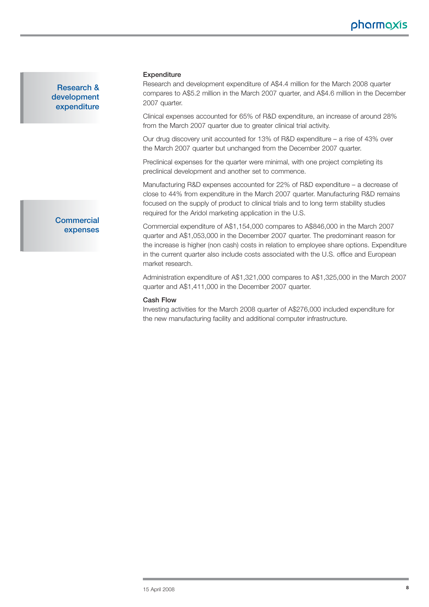**Research & development expenditure**

#### **Expenditure**

Research and development expenditure of A\$4.4 million for the March 2008 quarter compares to A\$5.2 million in the March 2007 quarter, and A\$4.6 million in the December 2007 quarter.

Clinical expenses accounted for 65% of R&D expenditure, an increase of around 28% from the March 2007 quarter due to greater clinical trial activity.

Our drug discovery unit accounted for 13% of R&D expenditure – a rise of 43% over the March 2007 quarter but unchanged from the December 2007 quarter.

Preclinical expenses for the quarter were minimal, with one project completing its preclinical development and another set to commence.

Manufacturing R&D expenses accounted for 22% of R&D expenditure – a decrease of close to 44% from expenditure in the March 2007 quarter. Manufacturing R&D remains focused on the supply of product to clinical trials and to long term stability studies required for the Aridol marketing application in the U.S.

Commercial expenditure of A\$1,154,000 compares to A\$846,000 in the March 2007 quarter and A\$1,053,000 in the December 2007 quarter. The predominant reason for the increase is higher (non cash) costs in relation to employee share options. Expenditure in the current quarter also include costs associated with the U.S. office and European market research.

Administration expenditure of A\$1,321,000 compares to A\$1,325,000 in the March 2007 quarter and A\$1,411,000 in the December 2007 quarter.

#### **Cash Flow**

Investing activities for the March 2008 quarter of A\$276,000 included expenditure for the new manufacturing facility and additional computer infrastructure.

**Commercial expenses**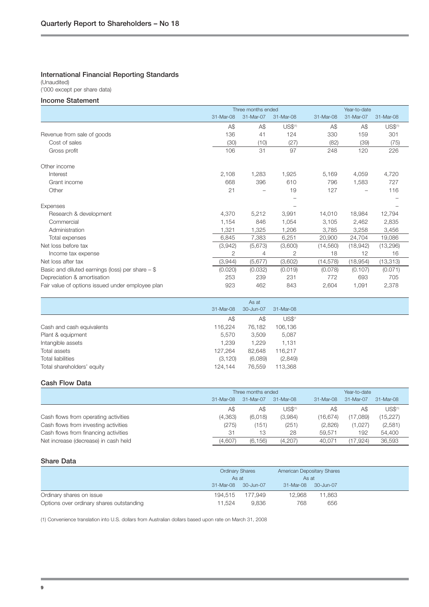#### **International Financial Reporting Standards**

(Unaudited)

### ('000 except per share data)

#### **Income Statement**

|                                                    |           | Three months ended |                     |           | Year-to-date |                     |  |  |
|----------------------------------------------------|-----------|--------------------|---------------------|-----------|--------------|---------------------|--|--|
|                                                    | 31-Mar-08 | 31-Mar-07          | 31-Mar-08           | 31-Mar-08 | 31-Mar-07    | 31-Mar-08           |  |  |
|                                                    | A\$       | A\$                | US\$ <sup>(1)</sup> | A\$       | A\$          | US\$ <sup>(1)</sup> |  |  |
| Revenue from sale of goods                         | 136       | 41                 | 124                 | 330       | 159          | 301                 |  |  |
| Cost of sales                                      | (30)      | (10)               | (27)                | (82)      | (39)         | (75)                |  |  |
| Gross profit                                       | 106       | 31                 | 97                  | 248       | 120          | 226                 |  |  |
| Other income                                       |           |                    |                     |           |              |                     |  |  |
| Interest                                           | 2,108     | 1,283              | 1,925               | 5,169     | 4,059        | 4,720               |  |  |
| Grant income                                       | 668       | 396                | 610                 | 796       | 1,583        | 727                 |  |  |
| Other                                              | 21        |                    | 19                  | 127       |              | 116                 |  |  |
|                                                    |           |                    |                     |           |              |                     |  |  |
| Expenses                                           |           |                    |                     |           |              |                     |  |  |
| Research & development                             | 4,370     | 5,212              | 3,991               | 14,010    | 18,984       | 12,794              |  |  |
| Commercial                                         | 1,154     | 846                | 1,054               | 3,105     | 2,462        | 2,835               |  |  |
| Administration                                     | 1,321     | 1,325              | 1,206               | 3,785     | 3,258        | 3,456               |  |  |
| Total expenses                                     | 6,845     | 7,383              | 6,251               | 20,900    | 24,704       | 19,086              |  |  |
| Net loss before tax                                | (3,942)   | (5,673)            | (3,600)             | (14, 560) | (18,942)     | (13,296)            |  |  |
| Income tax expense                                 | 2         | 4                  | 2                   | 18        | 12           | 16                  |  |  |
| Net loss after tax                                 | (3,944)   | (5,677)            | (3,602)             | (14, 578) | (18,954)     | (13, 313)           |  |  |
| Basic and diluted earnings (loss) per share $-$ \$ | (0.020)   | (0.032)            | (0.019)             | (0.078)   | (0.107)      | (0.071)             |  |  |
| Depreciation & amortisation                        | 253       | 239                | 231                 | 772       | 693          | 705                 |  |  |
| Fair value of options issued under employee plan   | 923       | 462                | 843                 | 2,604     | 1,091        | 2,378               |  |  |

|                            |           | As at     |                    |
|----------------------------|-----------|-----------|--------------------|
|                            | 31-Mar-08 | 30-Jun-07 | 31-Mar-08          |
|                            | A\$       | A\$       | US\$ <sup>(1</sup> |
| Cash and cash equivalents  | 116,224   | 76.182    | 106,136            |
| Plant & equipment          | 5,570     | 3,509     | 5,087              |
| Intangible assets          | 1,239     | 1.229     | 1,131              |
| Total assets               | 127,264   | 82,648    | 116,217            |
| <b>Total liabilities</b>   | (3, 120)  | (6,089)   | (2,849)            |
| Total shareholders' equity | 124.144   | 76,559    | 113,368            |
|                            |           |           |                    |

#### **Cash Flow Data**

|                                      | Three months ended |           |                     |           | Year-to-date |                     |
|--------------------------------------|--------------------|-----------|---------------------|-----------|--------------|---------------------|
|                                      | $31-Mar-08$        | 31-Mar-07 | $31-Mar-08$         | 31-Mar-08 | 31-Mar-07    | 31-Mar-08           |
|                                      | A\$                | A\$       | US\$ <sup>(1)</sup> | A\$       | A\$          | US\$ <sup>(1)</sup> |
| Cash flows from operating activities | (4,363)            | (6,018)   | (3,984)             | (16.674)  | (17.089)     | (15, 227)           |
| Cash flows from investing activities | (275)              | (151)     | (251)               | (2,826)   | (1,027)      | (2,581)             |
| Cash flows from financing activities | 31                 | 13        | 28                  | 59.571    | 192          | 54,400              |
| Net increase (decrease) in cash held | (4,607)            | (6, 156)  | (4,207)             | 40,071    | (17, 924)    | 36.593              |

#### **Share Data**

|                                          | <b>Ordinary Shares</b><br>As at |           | American Depositary Shares<br>As at |           |  |
|------------------------------------------|---------------------------------|-----------|-------------------------------------|-----------|--|
|                                          |                                 |           |                                     |           |  |
|                                          | 31-Mar-08                       | 30-Jun-07 | 31-Mar-08                           | 30-Jun-07 |  |
| Ordinary shares on issue                 | 194.515                         | 177.949   | 12.968                              | 11,863    |  |
| Options over ordinary shares outstanding | 11.524                          | 9.836     | 768                                 | 656       |  |

(1) Convenience translation into U.S. dollars from Australian dollars based upon rate on March 31, 2008